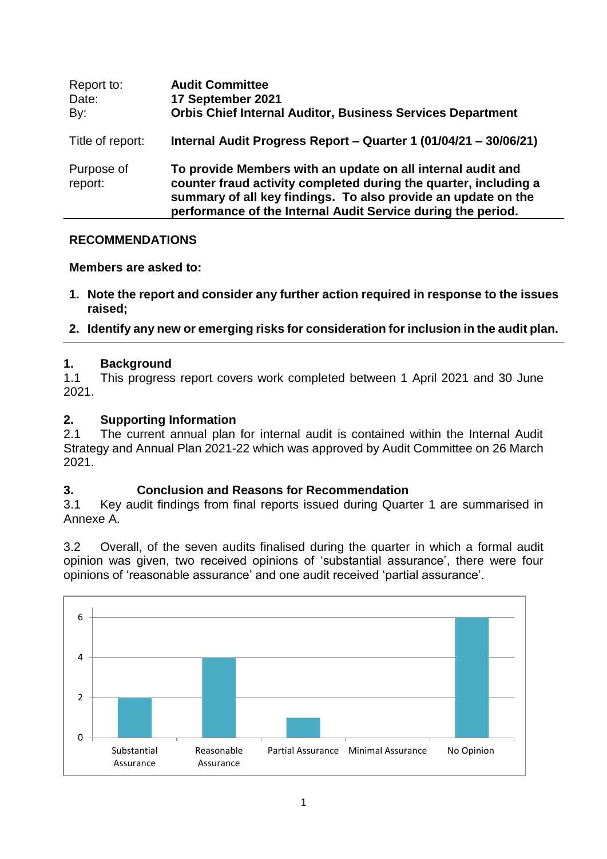| Report to:<br>Date:<br>By: | <b>Audit Committee</b><br>17 September 2021<br><b>Orbis Chief Internal Auditor, Business Services Department</b>                                                                                                                                                 |
|----------------------------|------------------------------------------------------------------------------------------------------------------------------------------------------------------------------------------------------------------------------------------------------------------|
| Title of report:           | Internal Audit Progress Report - Quarter 1 (01/04/21 - 30/06/21)                                                                                                                                                                                                 |
| Purpose of<br>report:      | To provide Members with an update on all internal audit and<br>counter fraud activity completed during the quarter, including a<br>summary of all key findings. To also provide an update on the<br>performance of the Internal Audit Service during the period. |

### **RECOMMENDATIONS**

# **Members are asked to:**

- **1. Note the report and consider any further action required in response to the issues raised;**
- **2. Identify any new or emerging risks for consideration for inclusion in the audit plan.**

# **1. Background**

1.1 This progress report covers work completed between 1 April 2021 and 30 June 2021.

# **2. Supporting Information**

2.1 The current annual plan for internal audit is contained within the Internal Audit Strategy and Annual Plan 2021-22 which was approved by Audit Committee on 26 March 2021.

### **3. Conclusion and Reasons for Recommendation**

3.1 Key audit findings from final reports issued during Quarter 1 are summarised in Annexe A.

3.2 Overall, of the seven audits finalised during the quarter in which a formal audit opinion was given, two received opinions of 'substantial assurance', there were four opinions of 'reasonable assurance' and one audit received 'partial assurance'.